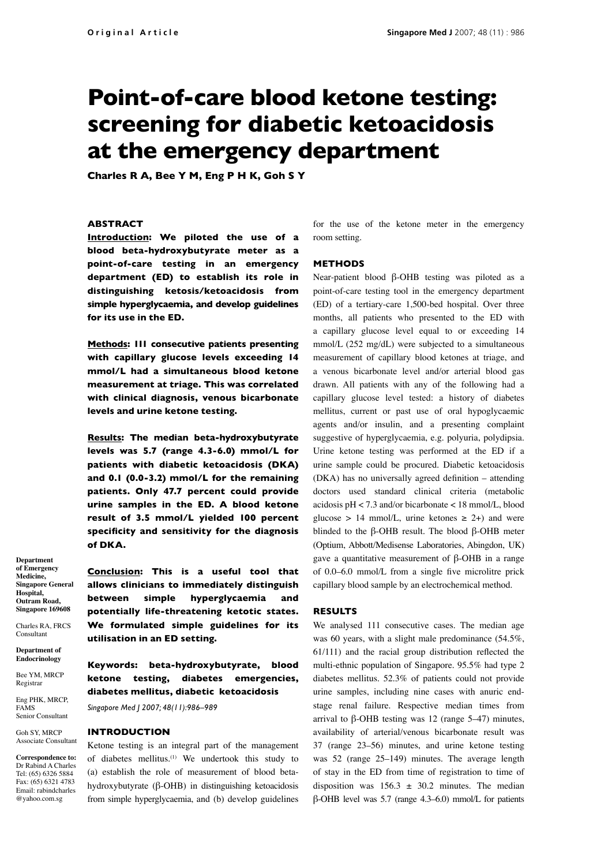# **Point-of-care blood ketone testing: screening for diabetic ketoacidosis at the emergency department**

**Charles R A, Bee Y M, Eng P H K, Goh S Y**

# **Abstract**

**Introduction: We piloted the use of a blood beta-hydroxybutyrate meter as a point-of-care testing in an emergency department (ED) to establish its role in distinguishing ketosis/ketoacidosis from simple hyperglycaemia, and develop guidelines for its use in the ED.**

**Methods: 111 consecutive patients presenting with capillary glucose levels exceeding 14 mmol/L had a simultaneous blood ketone measurement at triage. This was correlated with clinical diagnosis, venous bicarbonate levels and urine ketone testing.**

**Results: The median beta-hydroxybutyrate levels was 5.7 (range 4.3-6.0) mmol/L for patients with diabetic ketoacidosis (DKA) and 0.1 (0.0-3.2) mmol/L for the remaining patients. Only 47.7 percent could provide urine samples in the ED. A blood ketone result of 3.5 mmol/L yielded 100 percent specificity and sensitivity for the diagnosis of DKA.**

**Department of Emergency Medicine, Singapore General Hospital, Outram Road, Singapore 169608**

Charles RA, FRCS Consultant

**Department of Endocrinology**

Bee YM, MRCP Registrar

Eng PHK, MRCP, FAMS Senior Consultant

Goh SY, MRCP Associate Consultant

**Correspondence to:** Dr Rabind A Charles Tel: (65) 6326 5884 Fax: (65) 6321 4783 Email: rabindcharles @yahoo.com.sg

**Conclusion: This is a useful tool that allows clinicians to immediately distinguish between simple hyperglycaemia and potentially life-threatening ketotic states. We formulated simple guidelines for its utilisation in an ED setting.**

**Keywords: beta-hydroxybutyrate, blood ketone testing, diabetes emergencies, diabetes mellitus, diabetic ketoacidosis** 

*Singapore Med J 2007; 48(11):986–989*

#### **Introduction**

Ketone testing is an integral part of the management of diabetes mellitus.<sup>(1)</sup> We undertook this study to (a) establish the role of measurement of blood betahydroxybutyrate (β-OHB) in distinguishing ketoacidosis from simple hyperglycaemia, and (b) develop guidelines for the use of the ketone meter in the emergency room setting.

## **Methods**

Near-patient blood β-OHB testing was piloted as a point-of-care testing tool in the emergency department (ED) of a tertiary-care 1,500-bed hospital. Over three months, all patients who presented to the ED with a capillary glucose level equal to or exceeding 14 mmol/L (252 mg/dL) were subjected to a simultaneous measurement of capillary blood ketones at triage, and a venous bicarbonate level and/or arterial blood gas drawn. All patients with any of the following had a capillary glucose level tested: a history of diabetes mellitus, current or past use of oral hypoglycaemic agents and/or insulin, and a presenting complaint suggestive of hyperglycaemia, e.g. polyuria, polydipsia. Urine ketone testing was performed at the ED if a urine sample could be procured. Diabetic ketoacidosis (DKA) has no universally agreed definition – attending doctors used standard clinical criteria (metabolic acidosis pH < 7.3 and/or bicarbonate < 18 mmol/L, blood glucose > 14 mmol/L, urine ketones  $\geq$  2+) and were blinded to the β-OHB result. The blood β-OHB meter (Optium, Abbott/Medisense Laboratories, Abingdon, UK) gave a quantitative measurement of β-OHB in a range of 0.0–6.0 mmol/L from a single five microlitre prick capillary blood sample by an electrochemical method.

### **Results**

We analysed 111 consecutive cases. The median age was 60 years, with a slight male predominance (54.5%, 61/111) and the racial group distribution reflected the multi-ethnic population of Singapore. 95.5% had type 2 diabetes mellitus. 52.3% of patients could not provide urine samples, including nine cases with anuric endstage renal failure. Respective median times from arrival to β-OHB testing was 12 (range 5–47) minutes, availability of arterial/venous bicarbonate result was 37 (range 23–56) minutes, and urine ketone testing was 52 (range 25–149) minutes. The average length of stay in the ED from time of registration to time of disposition was  $156.3 \pm 30.2$  minutes. The median β-OHB level was 5.7 (range 4.3–6.0) mmol/L for patients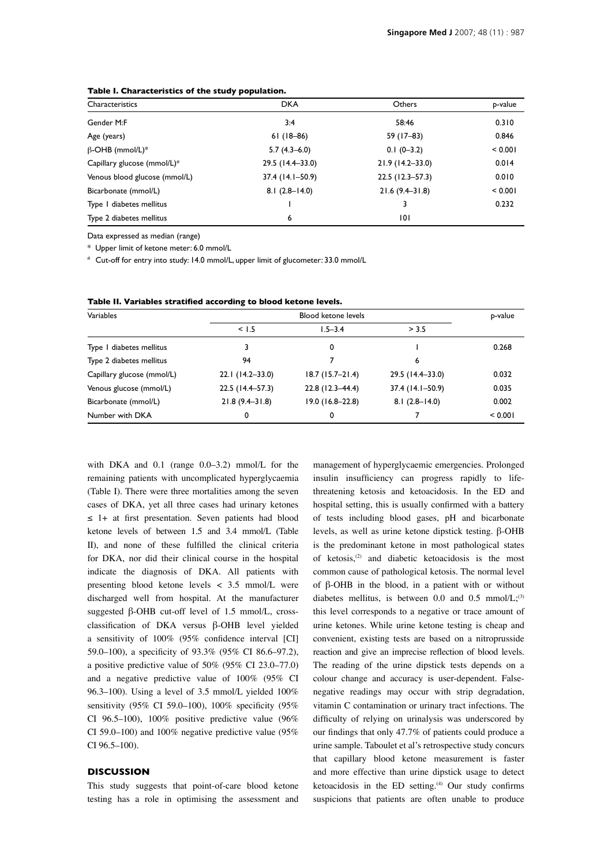| Characteristics                         | <b>DKA</b>       | Others              | p-value |
|-----------------------------------------|------------------|---------------------|---------|
| Gender M:F                              | 3:4              | 58:46               | 0.310   |
| Age (years)                             | $61(18-86)$      | 59 (17-83)          | 0.846   |
| $\beta$ -OHB (mmol/L)*                  | $5.7(4.3-6.0)$   | $0.1(0-3.2)$        | < 0.001 |
| Capillary glucose (mmol/L) <sup>#</sup> | 29.5 (14.4-33.0) | $21.9(14.2 - 33.0)$ | 0.014   |
| Venous blood glucose (mmol/L)           | 37.4 (14.1–50.9) | 22.5 (12.3–57.3)    | 0.010   |
| Bicarbonate (mmol/L)                    | $8.1(2.8-14.0)$  | $21.6(9.4 - 31.8)$  | < 0.001 |
| Type I diabetes mellitus                |                  | 3                   | 0.232   |
| Type 2 diabetes mellitus                | 6                | 101                 |         |

## **Table I. Characteristics of the study population.**

Data expressed as median (range)

\* Upper limit of ketone meter: 6.0 mmol/L

# Cut-off for entry into study: 14.0 mmol/L, upper limit of glucometer: 33.0 mmol/L

| Variables                  | <b>Blood ketone levels</b> |                   |                  | p-value |
|----------------------------|----------------------------|-------------------|------------------|---------|
|                            | < 1.5                      | $1.5 - 3.4$       | > 3.5            |         |
| Type I diabetes mellitus   |                            | 0                 |                  | 0.268   |
| Type 2 diabetes mellitus   | 94                         |                   | 6                |         |
| Capillary glucose (mmol/L) | 22.1 (14.2-33.0)           | $18.7(15.7-21.4)$ | 29.5 (14.4–33.0) | 0.032   |
| Venous glucose (mmol/L)    | 22.5 (14.4-57.3)           | 22.8 (12.3-44.4)  | 37.4 (14.1-50.9) | 0.035   |
| Bicarbonate (mmol/L)       | $21.8(9.4 - 31.8)$         | 19.0 (16.8-22.8)  | $8.1(2.8-14.0)$  | 0.002   |
| Number with DKA            | 0                          | 0                 |                  | < 0.001 |

**Table II. Variables stratified according to blood ketone levels.**

with DKA and 0.1 (range 0.0–3.2) mmol/L for the remaining patients with uncomplicated hyperglycaemia (Table I). There were three mortalities among the seven cases of DKA, yet all three cases had urinary ketones ≤ 1+ at first presentation. Seven patients had blood ketone levels of between 1.5 and 3.4 mmol/L (Table II), and none of these fulfilled the clinical criteria for DKA, nor did their clinical course in the hospital indicate the diagnosis of DKA. All patients with presenting blood ketone levels < 3.5 mmol/L were discharged well from hospital. At the manufacturer suggested β-OHB cut-off level of 1.5 mmol/L, crossclassification of DKA versus β-OHB level yielded a sensitivity of 100% (95% confidence interval [CI] 59.0–100), a specificity of 93.3% (95% CI 86.6–97.2), a positive predictive value of 50% (95% CI 23.0–77.0) and a negative predictive value of 100% (95% CI 96.3–100). Using a level of 3.5 mmol/L yielded 100% sensitivity (95% CI 59.0–100), 100% specificity (95% CI 96.5–100), 100% positive predictive value  $(96\%$ CI 59.0–100) and 100% negative predictive value (95% CI 96.5–100).

## **Discussion**

This study suggests that point-of-care blood ketone testing has a role in optimising the assessment and

management of hyperglycaemic emergencies. Prolonged insulin insufficiency can progress rapidly to lifethreatening ketosis and ketoacidosis. In the ED and hospital setting, this is usually confirmed with a battery of tests including blood gases, pH and bicarbonate levels, as well as urine ketone dipstick testing. β-OHB is the predominant ketone in most pathological states of ketosis,(2) and diabetic ketoacidosis is the most common cause of pathological ketosis. The normal level of β-OHB in the blood, in a patient with or without diabetes mellitus, is between 0.0 and 0.5 mmol/ $L;^{(3)}$ this level corresponds to a negative or trace amount of urine ketones. While urine ketone testing is cheap and convenient, existing tests are based on a nitroprusside reaction and give an imprecise reflection of blood levels. The reading of the urine dipstick tests depends on a colour change and accuracy is user-dependent. Falsenegative readings may occur with strip degradation, vitamin C contamination or urinary tract infections. The difficulty of relying on urinalysis was underscored by our findings that only 47.7% of patients could produce a urine sample. Taboulet et al's retrospective study concurs that capillary blood ketone measurement is faster and more effective than urine dipstick usage to detect ketoacidosis in the ED setting.<sup>(4)</sup> Our study confirms suspicions that patients are often unable to produce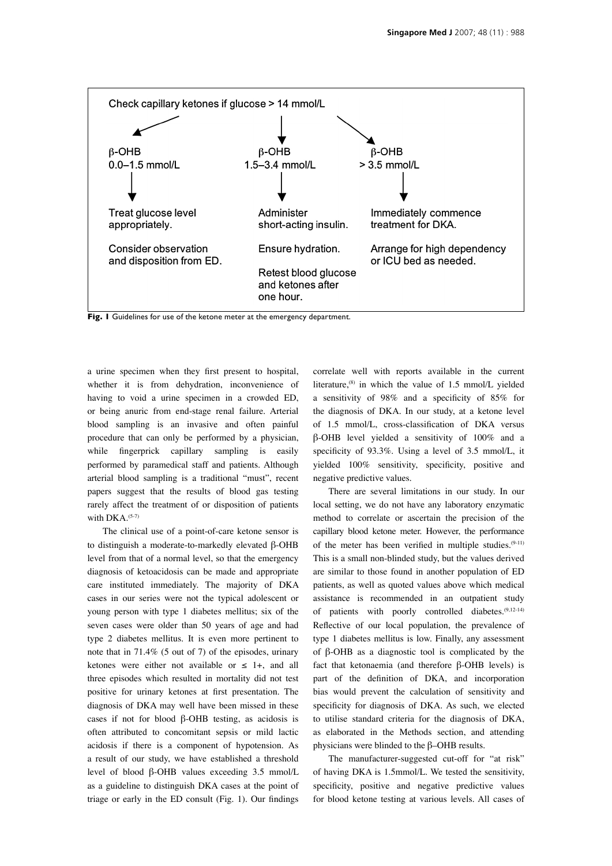

**Fig. 1** Guidelines for use of the ketone meter at the emergency department.

a urine specimen when they first present to hospital, whether it is from dehydration, inconvenience of having to void a urine specimen in a crowded ED, or being anuric from end-stage renal failure. Arterial blood sampling is an invasive and often painful procedure that can only be performed by a physician, while fingerprick capillary sampling is easily performed by paramedical staff and patients. Although arterial blood sampling is a traditional "must", recent papers suggest that the results of blood gas testing rarely affect the treatment of or disposition of patients with  $DKA$ .<sup> $(5-7)$ </sup>

The clinical use of a point-of-care ketone sensor is to distinguish a moderate-to-markedly elevated β-OHB level from that of a normal level, so that the emergency diagnosis of ketoacidosis can be made and appropriate care instituted immediately. The majority of DKA cases in our series were not the typical adolescent or young person with type 1 diabetes mellitus; six of the seven cases were older than 50 years of age and had type 2 diabetes mellitus. It is even more pertinent to note that in 71.4% (5 out of 7) of the episodes, urinary ketones were either not available or  $\leq$  1+, and all three episodes which resulted in mortality did not test positive for urinary ketones at first presentation. The diagnosis of DKA may well have been missed in these cases if not for blood β-OHB testing, as acidosis is often attributed to concomitant sepsis or mild lactic acidosis if there is a component of hypotension. As a result of our study, we have established a threshold level of blood β-OHB values exceeding 3.5 mmol/L as a guideline to distinguish DKA cases at the point of triage or early in the ED consult (Fig. 1). Our findings correlate well with reports available in the current literature,<sup>(8)</sup> in which the value of 1.5 mmol/L yielded a sensitivity of 98% and a specificity of 85% for the diagnosis of DKA. In our study, at a ketone level of 1.5 mmol/L, cross-classification of DKA versus β-OHB level yielded a sensitivity of 100% and a specificity of 93.3%. Using a level of 3.5 mmol/L, it yielded 100% sensitivity, specificity, positive and negative predictive values.

There are several limitations in our study. In our local setting, we do not have any laboratory enzymatic method to correlate or ascertain the precision of the capillary blood ketone meter. However, the performance of the meter has been verified in multiple studies.(9-11) This is a small non-blinded study, but the values derived are similar to those found in another population of ED patients, as well as quoted values above which medical assistance is recommended in an outpatient study of patients with poorly controlled diabetes.(9,12-14) Reflective of our local population, the prevalence of type 1 diabetes mellitus is low. Finally, any assessment of β-OHB as a diagnostic tool is complicated by the fact that ketonaemia (and therefore β-OHB levels) is part of the definition of DKA, and incorporation bias would prevent the calculation of sensitivity and specificity for diagnosis of DKA. As such, we elected to utilise standard criteria for the diagnosis of DKA, as elaborated in the Methods section, and attending physicians were blinded to the β–OHB results.

The manufacturer-suggested cut-off for "at risk" of having DKA is 1.5mmol/L. We tested the sensitivity, specificity, positive and negative predictive values for blood ketone testing at various levels. All cases of